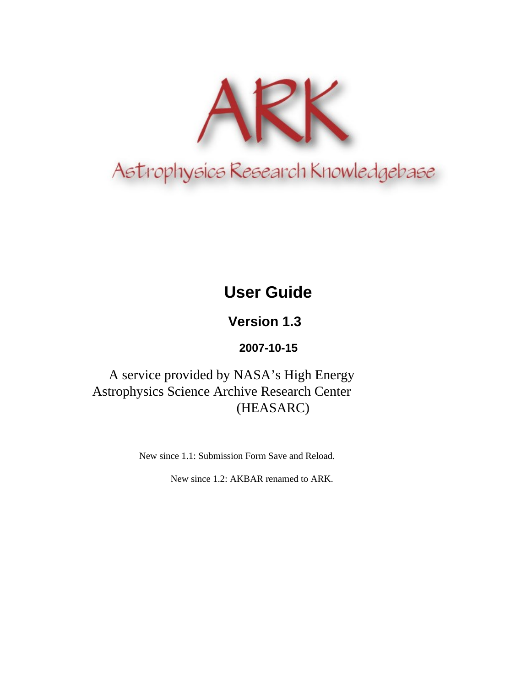

# **User Guide**

## **Version 1.3**

**2007-10-15**

A service provided by NASA's High Energy Astrophysics Science Archive Research Center (HEASARC)

New since 1.1: Submission Form Save and Reload.

New since 1.2: AKBAR renamed to ARK.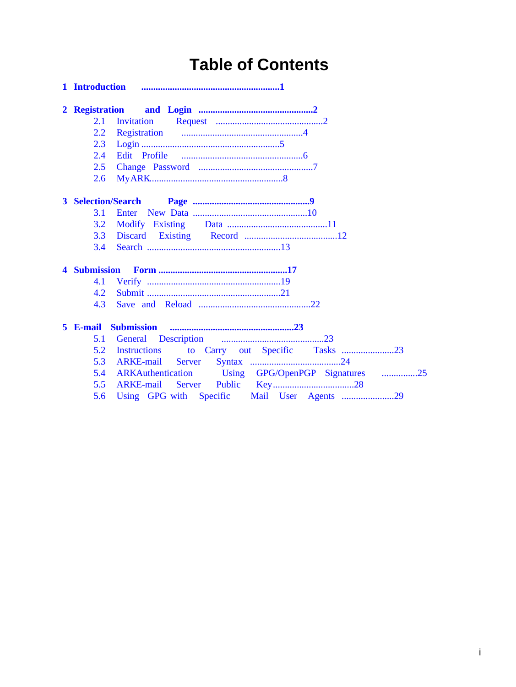# **Table of Contents**

| 2.1           | Invitation                                            |
|---------------|-------------------------------------------------------|
| 2.2           | Registration                                          |
| 2.3           |                                                       |
| 2.4           |                                                       |
| 2.5           |                                                       |
| 2.6           |                                                       |
|               |                                                       |
| 3.1           |                                                       |
| 3.2           |                                                       |
| 3.3           |                                                       |
| $3.4^{\circ}$ |                                                       |
|               |                                                       |
| 4.1           |                                                       |
| 4.2           |                                                       |
| 4.3           |                                                       |
| 5 E-mail      |                                                       |
| 5.1           |                                                       |
| 5.2           |                                                       |
| 5.3           | <b>ARKE-mail Server</b>                               |
| 5.4           | ARKAuthentication Using GPG/OpenPGP Signatures<br>.25 |
| 5.5           |                                                       |
| 5.6           |                                                       |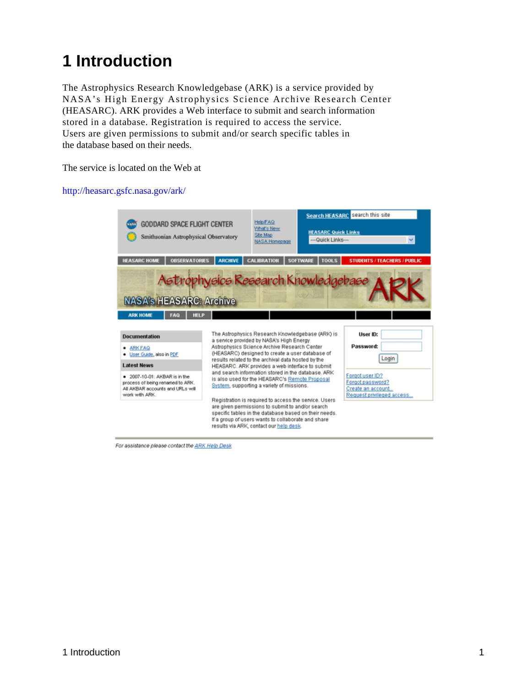# <span id="page-2-0"></span>**1 Introduction**

The Astrophysics Research Knowledgebase (ARK) is a service provided by NASA's High Energy Astrophysics Science Archive Research Center (HEASARC). ARK provides a Web interface to submit and search information stored in a database. Registration is required to access the service. Users are given permissions to submit and/or search specific tables in the database based on their needs.

The service is located on the Web at

#### <http://heasarc.gsfc.nasa.gov/ark/>



For assistance please contact the ARK Help Desk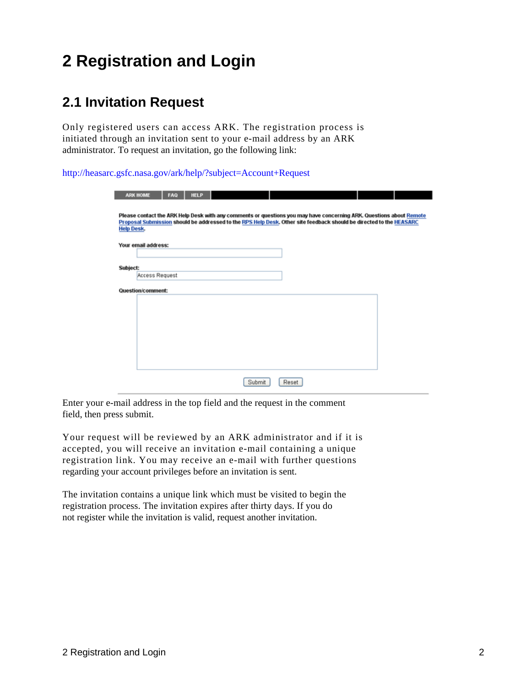# <span id="page-3-0"></span>**2 Registration and Login**

### <span id="page-3-1"></span>**2.1 Invitation Request**

Only registered users can access ARK. The registration process is initiated through an invitation sent to your e-mail address by an ARK administrator. To request an invitation, go the following link:

<http://heasarc.gsfc.nasa.gov/ark/help/?subject=Account+Request>

|          | <b>ARK HOME</b><br>FAQ<br><b>HELP</b>                                                                                                                                                                                                                           |  |
|----------|-----------------------------------------------------------------------------------------------------------------------------------------------------------------------------------------------------------------------------------------------------------------|--|
|          | Please contact the ARK Help Desk with any comments or questions you may have concerning ARK. Questions about Remote<br>Proposal Submission should be addressed to the RPS Help Desk. Other site feedback should be directed to the HEASARC<br><b>Help Desk.</b> |  |
|          | Your email address:                                                                                                                                                                                                                                             |  |
|          |                                                                                                                                                                                                                                                                 |  |
| Subject: | Access Request                                                                                                                                                                                                                                                  |  |
|          | Question/comment:                                                                                                                                                                                                                                               |  |
|          |                                                                                                                                                                                                                                                                 |  |
|          |                                                                                                                                                                                                                                                                 |  |
|          |                                                                                                                                                                                                                                                                 |  |
|          |                                                                                                                                                                                                                                                                 |  |
|          |                                                                                                                                                                                                                                                                 |  |
|          |                                                                                                                                                                                                                                                                 |  |
|          | Reset<br>Submit                                                                                                                                                                                                                                                 |  |

Enter your e-mail address in the top field and the request in the comment field, then press submit.

Your request will be reviewed by an ARK administrator and if it is accepted, you will receive an invitation e-mail containing a unique registration link. You may receive an e-mail with further questions regarding your account privileges before an invitation is sent.

The invitation contains a unique link which must be visited to begin the registration process. The invitation expires after thirty days. If you do not register while the invitation is valid, request another invitation.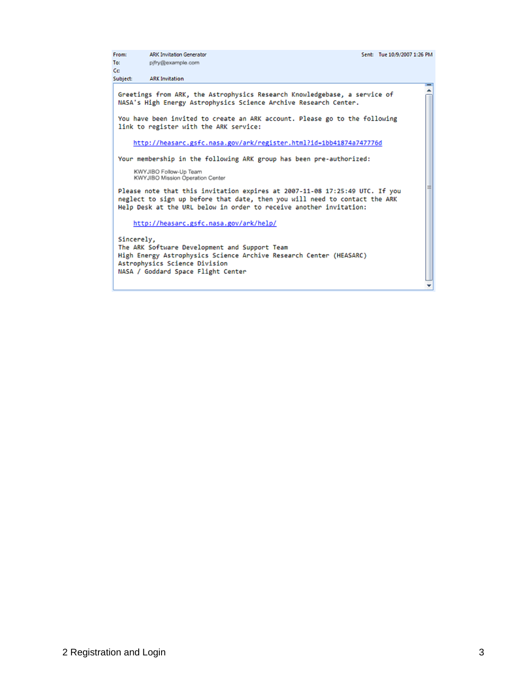From: **ARK Invitation Generator** Sent: Tue 10/9/2007 1:26 PM To: pjfry@example.com Ce **ARK Invitation** Subject: A Greetings from ARK, the Astrophysics Research Knowledgebase, a service of NASA's High Energy Astrophysics Science Archive Research Center. You have been invited to create an ARK account. Please go to the following link to register with the ARK service: http://heasarc.gsfc.nasa.gov/ark/register.html?id=1bb41874a747776d Your membership in the following ARK group has been pre-authorized: KWYJIBO Follow-Up Team KWYJIBO Mission Operation Center Please note that this invitation expires at 2007-11-08 17:25:49 UTC. If you neglect to sign up before that date, then you will need to contact the ARK<br>Help Desk at the URL below in order to receive another invitation: http://heasarc.gsfc.nasa.gov/ark/help/ Sincerely, The ARK Software Development and Support Team High Energy Astrophysics Science Archive Research Center (HEASARC) Astrophysics Science Division NASA / Goddard Space Flight Center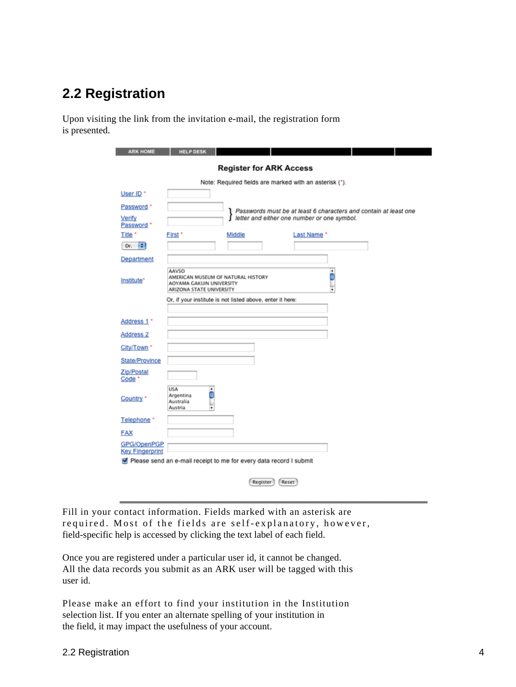## <span id="page-5-0"></span>**2.2 Registration**

Upon visiting the link from the invitation e-mail, the registration form is presented.

| <b>Register for ARK Access</b>                         |                                                                |                                                                    |                                               |             |                                                                  |  |  |  |
|--------------------------------------------------------|----------------------------------------------------------------|--------------------------------------------------------------------|-----------------------------------------------|-------------|------------------------------------------------------------------|--|--|--|
| Note: Required fields are marked with an asterisk (*). |                                                                |                                                                    |                                               |             |                                                                  |  |  |  |
| User ID <sup>*</sup>                                   |                                                                |                                                                    |                                               |             |                                                                  |  |  |  |
| Password *<br>Verify<br>Password *                     |                                                                |                                                                    | ∫ letter and either one number or one symbol. |             | Passwords must be at least 6 characters and contain at least one |  |  |  |
| Title *                                                | First *                                                        | Middle                                                             | Last Name *                                   |             |                                                                  |  |  |  |
| P.<br>Dr.                                              |                                                                |                                                                    |                                               |             |                                                                  |  |  |  |
| Department                                             |                                                                |                                                                    |                                               |             |                                                                  |  |  |  |
| Institute*                                             | AAVSO<br>AOYAMA GAKUIN UNIVERSITY<br>ARIZONA STATE UNIVERSITY  | AMERICAN MUSEUM OF NATURAL HISTORY                                 |                                               | ٠<br>Ω<br>٠ |                                                                  |  |  |  |
|                                                        |                                                                | Or, if your institute is not listed above, enter it here:          |                                               |             |                                                                  |  |  |  |
| Address 1 *                                            |                                                                |                                                                    |                                               |             |                                                                  |  |  |  |
|                                                        |                                                                |                                                                    |                                               |             |                                                                  |  |  |  |
| Address 2                                              |                                                                |                                                                    |                                               |             |                                                                  |  |  |  |
| City/Town <sup>*</sup>                                 |                                                                |                                                                    |                                               |             |                                                                  |  |  |  |
| State/Province                                         |                                                                |                                                                    |                                               |             |                                                                  |  |  |  |
| Zip/Postal<br>Code <sup>*</sup>                        |                                                                |                                                                    |                                               |             |                                                                  |  |  |  |
| Country *                                              | <b>USA</b><br>٠<br>٥<br>Argentina<br>Australia<br>Austria<br>٠ |                                                                    |                                               |             |                                                                  |  |  |  |
| Telephone *                                            |                                                                |                                                                    |                                               |             |                                                                  |  |  |  |
| <b>FAX</b>                                             |                                                                |                                                                    |                                               |             |                                                                  |  |  |  |
| GPG/OpenPGP<br><b>Key Fingerprint</b>                  |                                                                |                                                                    |                                               |             |                                                                  |  |  |  |
|                                                        |                                                                | Please send an e-mail receipt to me for every data record I submit |                                               |             |                                                                  |  |  |  |
|                                                        |                                                                | Register                                                           | Reset                                         |             |                                                                  |  |  |  |

Fill in your contact information. Fields marked with an asterisk are required. Most of the fields are self-explanatory, however, field-specific help is accessed by clicking the text label of each field.

Once you are registered under a particular user id, it cannot be changed. All the data records you submit as an ARK user will be tagged with this user id.

Please make an effort to find your institution in the Institution selection list. If you enter an alternate spelling of your institution in the field, it may impact the usefulness of your account.

▅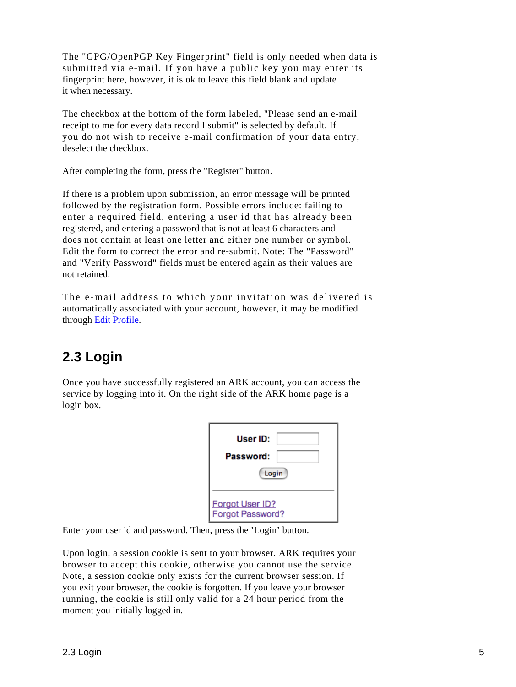The "GPG/OpenPGP Key Fingerprint" field is only needed when data is submitted via e-mail. If you have a public key you may enter its fingerprint here, however, it is ok to leave this field blank and update it when necessary.

The checkbox at the bottom of the form labeled, "Please send an e-mail receipt to me for every data record I submit" is selected by default. If you do not wish to receive e-mail confirmation of your data entry, deselect the checkbox.

After completing the form, press the "Register" button.

If there is a problem upon submission, an error message will be printed followed by the registration form. Possible errors include: failing to enter a required field, entering a user id that has already been registered, and entering a password that is not at least 6 characters and does not contain at least one letter and either one number or symbol. Edit the form to correct the error and re-submit. Note: The "Password" and "Verify Password" fields must be entered again as their values are not retained.

The e-mail address to which your invitation was delivered is automatically associated with your account, however, it may be modified through E[dit Profile.](#page-7-1)

## <span id="page-6-0"></span>**2.3 Login**

Once you have successfully registered an ARK account, you can access the service by logging into it. On the right side of the ARK home page is a login box.

| User ID:<br>Password:                        |  |
|----------------------------------------------|--|
| Login<br>Forgot User ID?<br>Forgot Password? |  |

Enter your user id and password. Then, press the 'Login' button.

Upon login, a session cookie is sent to your browser. ARK requires your browser to accept this cookie, otherwise you cannot use the service. Note, a session cookie only exists for the current browser session. If you exit your browser, the cookie is forgotten. If you leave your browser running, the cookie is still only valid for a 24 hour period from the moment you initially logged in.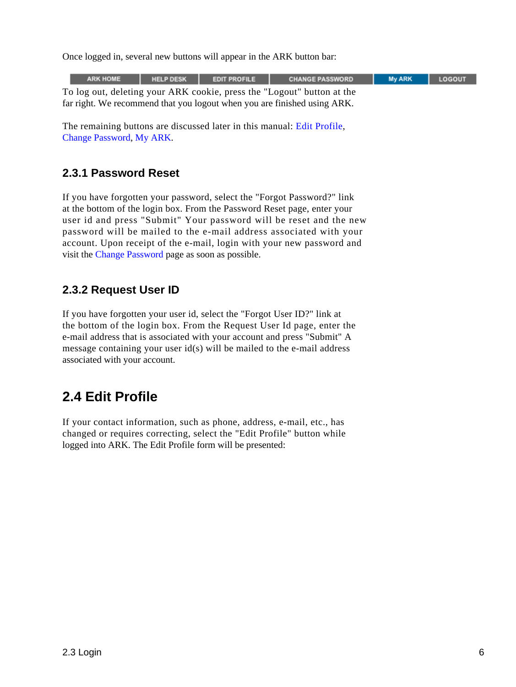Once logged in, several new buttons will appear in the ARK button bar:

| <b>ARK HOME</b>                                                        | <b>HELP DESK</b><br><b>EDIT PROFILE</b>                                  |  | <b>CHANGE PASSWORD</b> | <b>My ARK</b> | <b>LOGOUT</b> |  |  |  |
|------------------------------------------------------------------------|--------------------------------------------------------------------------|--|------------------------|---------------|---------------|--|--|--|
| To log out, deleting your ARK cookie, press the "Logout" button at the |                                                                          |  |                        |               |               |  |  |  |
|                                                                        | far right. We recommend that you logout when you are finished using ARK. |  |                        |               |               |  |  |  |

The remaining buttons are discussed later in this manual: Edit Profile, [Change Password, My](#page-8-1) [ARK.](#page-9-1)

#### **2.3.1 Password Reset**

If you have forgotten your password, select the "Forgot Password?" link at the bottom of the login box. From the Password Reset page, enter your user id and press "Submit" Your password will be reset and the new password will be mailed to the e-mail address associated with your account. Upon receipt of the e-mail, login with your new password and visit the Cha[nge Password page as soo](#page-8-1)n as possible.

#### **2.3.2 Request User ID**

If you have forgotten your user id, select the "Forgot User ID?" link at the bottom of the login box. From the Request User Id page, enter the e-mail address that is associated with your account and press "Submit" A message containing your user id(s) will be mailed to the e-mail address associated with your account.

## <span id="page-7-1"></span><span id="page-7-0"></span>**2.4 Edit Profile**

If your contact information, such as phone, address, e-mail, etc., has changed or requires correcting, select the "Edit Profile" button while logged into ARK. The Edit Profile form will be presented: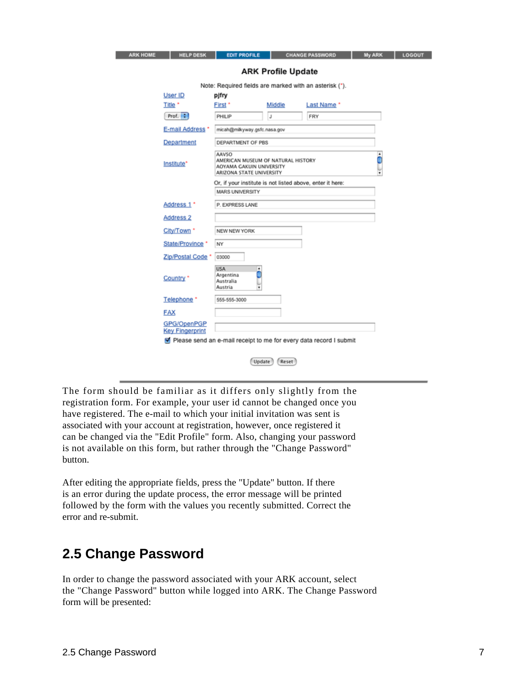| <b>ARK HOME</b> | <b>HELP DESK</b>                                                                                                  | <b>EDIT PROFILE</b>                                                |                           | <b>CHANGE PASSWORD</b> | <b>My ARK</b> | LOGOUT |
|-----------------|-------------------------------------------------------------------------------------------------------------------|--------------------------------------------------------------------|---------------------------|------------------------|---------------|--------|
|                 |                                                                                                                   |                                                                    | <b>ARK Profile Update</b> |                        |               |        |
|                 |                                                                                                                   | Note: Required fields are marked with an asterisk (*).             |                           |                        |               |        |
|                 | User ID<br>pjfry                                                                                                  |                                                                    |                           |                        |               |        |
|                 | Title *                                                                                                           | First <sup>*</sup>                                                 | Middle                    | Last Name*             |               |        |
|                 | Prof. :                                                                                                           | PHILIP                                                             | J                         | FRY                    |               |        |
|                 | E-mail Address *                                                                                                  | micah@milkyway.gsfc.nasa.gov                                       |                           |                        |               |        |
|                 | Department                                                                                                        | DEPARTMENT OF PBS                                                  |                           |                        |               |        |
|                 | AAVSO<br>AMERICAN MUSEUM OF NATURAL HISTORY<br>Institute*<br>AOYAMA GAKUIN UNIVERSITY<br>ARIZONA STATE UNIVERSITY |                                                                    |                           |                        |               |        |
|                 | Or, if your institute is not listed above, enter it here:                                                         |                                                                    |                           |                        |               |        |
|                 | MARS UNIVERSITY                                                                                                   |                                                                    |                           |                        |               |        |
|                 | Address 1 *                                                                                                       | P. EXPRESS LANE                                                    |                           |                        |               |        |
|                 | <b>Address 2</b>                                                                                                  |                                                                    |                           |                        |               |        |
|                 | City/Town <sup>*</sup>                                                                                            | NEW NEW YORK                                                       |                           |                        |               |        |
|                 | State/Province *                                                                                                  | NY                                                                 |                           |                        |               |        |
|                 | Zip/Postal Code *                                                                                                 | 03000                                                              |                           |                        |               |        |
|                 | Country *                                                                                                         | <b>USA</b><br>٠<br>p<br>Argentina<br>Australia<br>Austria<br>٠     |                           |                        |               |        |
|                 | Telephone *                                                                                                       | 555-555-3000                                                       |                           |                        |               |        |
|                 | <b>FAX</b>                                                                                                        |                                                                    |                           |                        |               |        |
|                 | GPG/OpenPGP<br><b>Key Fingerprint</b>                                                                             |                                                                    |                           |                        |               |        |
|                 |                                                                                                                   | Please send an e-mail receipt to me for every data record I submit |                           |                        |               |        |
|                 |                                                                                                                   | Update                                                             | Reset                     |                        |               |        |

The form should be familiar as it differs only slightly from the registration form. For example, your user id cannot be changed once you have registered. The e-mail to which your initial invitation was sent is associated with your account at registration, however, once registered it can be changed via the "Edit Profile" form. Also, changing your password is not available on this form, but rather through the "Change Password" button.

After editing the appropriate fields, press the "Update" button. If there is an error during the update process, the error message will be printed followed by the form with the values you recently submitted. Correct the error and re-submit.

## <span id="page-8-1"></span><span id="page-8-0"></span>**2.5 Change Password**

In order to change the password associated with your ARK account, select the "Change Password" button while logged into ARK. The Change Password form will be presented: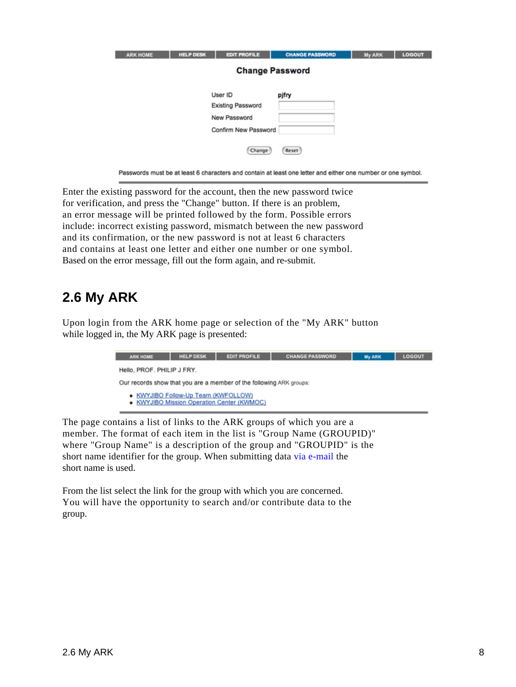| <b>ARK HOME</b>        | <b>HELP DESK</b> | <b>EDIT PROFILE</b>                                                                | <b>CHANGE PASSWORD</b> | <b>My ARK</b> | <b>LOGOUT</b> |  |  |  |  |
|------------------------|------------------|------------------------------------------------------------------------------------|------------------------|---------------|---------------|--|--|--|--|
| <b>Change Password</b> |                  |                                                                                    |                        |               |               |  |  |  |  |
|                        |                  | User ID<br><b>Existing Password</b><br><b>New Password</b><br>Confirm New Password | pjfry                  |               |               |  |  |  |  |
|                        |                  | Change                                                                             | Reset                  |               |               |  |  |  |  |

Passwords must be at least 6 characters and contain at least one letter and either one number or one symbol.

Enter the existing password for the account, then the new password twice for verification, and press the "Change" button. If there is an problem, an error message will be printed followed by the form. Possible errors include: incorrect existing password, mismatch between the new password and its confirmation, or the new password is not at least 6 characters and contains at least one letter and either one number or one symbol. Based on the error message, fill out the form again, and re-submit.

## <span id="page-9-1"></span><span id="page-9-0"></span>**2.6 My ARK**

Upon login from the ARK home page or selection of the "My ARK" button while logged in, the My ARK page is presented:

| <b>ARK HOME</b>                                                                   | <b>HELP DESK</b> | <b>EDIT PROFILE</b> | <b>CHANGE PASSWORD</b> | My ARK | <b>LOGOUT</b> |  |  |
|-----------------------------------------------------------------------------------|------------------|---------------------|------------------------|--------|---------------|--|--|
| Hello, PROF. PHILIP J FRY.                                                        |                  |                     |                        |        |               |  |  |
| Our records show that you are a member of the following ARK groups:               |                  |                     |                        |        |               |  |  |
| . KWYJIBO Follow-Up Team (KWFOLLOW)<br>• KWYJIBO Mission Operation Center (KWMOC) |                  |                     |                        |        |               |  |  |

The page contains a list of links to the ARK groups of which you are a member. The format of each item in the list is "Group Name (GROUPID)" where "Group Name" is a description of the group and "GROUPID" is the short name identifier for the group. When submitting data via e-mail the short name is used.

From the list select the link for the group with which you are concerned. You will have the opportunity to search and/or contribute data to the group.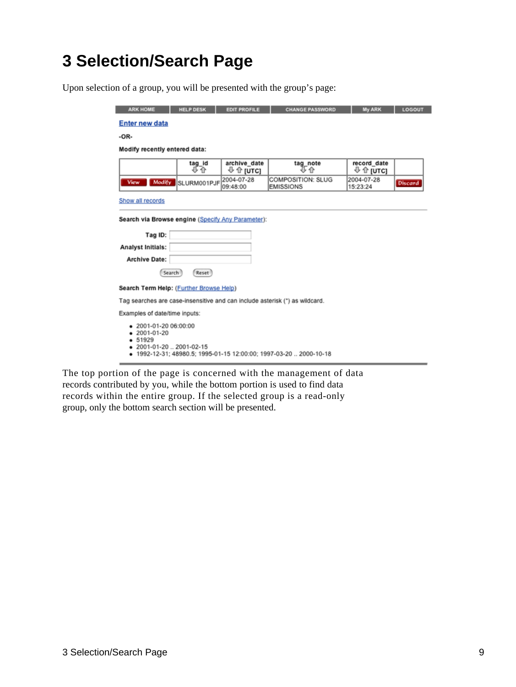# <span id="page-10-0"></span>**3 Selection/Search Page**

Upon selection of a group, you will be presented with the group's page:

| <b>Enter new data</b><br>-OR-<br>Modify recently entered data:              |              |                            |                                       |                          |                |  |  |
|-----------------------------------------------------------------------------|--------------|----------------------------|---------------------------------------|--------------------------|----------------|--|--|
|                                                                             |              |                            |                                       |                          |                |  |  |
|                                                                             |              |                            |                                       |                          |                |  |  |
|                                                                             |              |                            |                                       |                          |                |  |  |
|                                                                             | tag_id<br>业介 | archive_date<br>⊕ ∕ो [Ūтс] | tag_note<br>业业                        | record_date<br>⊕ n [uтс] |                |  |  |
| Modify<br>View                                                              | SLURM001PJF  | 2004-07-28<br>09:48:00     | COMPOSITION: SLUG<br><b>EMISSIONS</b> | 2004-07-28<br>15:23:24   | <b>Discard</b> |  |  |
| Show all records                                                            |              |                            |                                       |                          |                |  |  |
|                                                                             |              |                            |                                       |                          |                |  |  |
| Search via Browse engine (Specify Any Parameter):                           |              |                            |                                       |                          |                |  |  |
|                                                                             |              |                            |                                       |                          |                |  |  |
| Tag ID:                                                                     |              |                            |                                       |                          |                |  |  |
| <b>Analyst Initials:</b>                                                    |              |                            |                                       |                          |                |  |  |
| <b>Archive Date:</b>                                                        |              |                            |                                       |                          |                |  |  |
| Search                                                                      | Reset        |                            |                                       |                          |                |  |  |
|                                                                             |              |                            |                                       |                          |                |  |  |
| Search Term Help: (Further Browse Help)                                     |              |                            |                                       |                          |                |  |  |
| Tag searches are case-insensitive and can include asterisk (*) as wildcard. |              |                            |                                       |                          |                |  |  |
| Examples of date/time inputs:                                               |              |                            |                                       |                          |                |  |  |
|                                                                             |              |                            |                                       |                          |                |  |  |
| $-2001-01-2006:00:00$<br>$-2001 - 01 - 20$                                  |              |                            |                                       |                          |                |  |  |
|                                                                             |              |                            |                                       |                          |                |  |  |
| • 51929                                                                     |              |                            |                                       |                          |                |  |  |

The top portion of the page is concerned with the management of data records contributed by you, while the bottom portion is used to find data records within the entire group. If the selected group is a read-only group, only the bottom search section will be presented.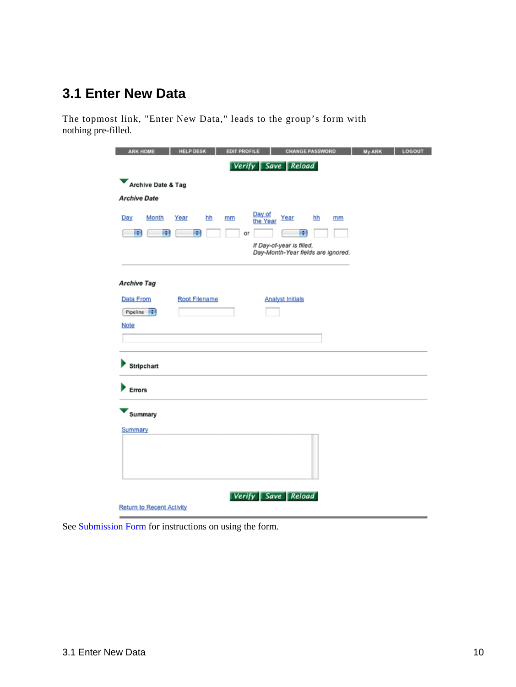### <span id="page-11-0"></span>**3.1 Enter New Data**

The topmost link, "Enter New Data," leads to the group's form with nothing pre-filled.

| <b>ARK HOME</b>                  | <b>HELP DESK</b>      | EDIT PROFILE             | <b>CHANGE PASSWORD</b>                 |                                                | <b>My ARK</b> | LOGOUT |
|----------------------------------|-----------------------|--------------------------|----------------------------------------|------------------------------------------------|---------------|--------|
|                                  |                       | Verify Save Reload       |                                        |                                                |               |        |
| Archive Date & Tag               |                       |                          |                                        |                                                |               |        |
| <b>Archive Date</b>              |                       |                          |                                        |                                                |               |        |
| Month<br>Day<br>毕<br>B           | Year<br>hh<br>mm<br>顯 | Day of<br>the Year<br>or | Year<br>驆<br>If Day-of-year is filled, | hh<br>mm<br>Day-Month-Year fields are ignored. |               |        |
| <b>Archive Tag</b>               |                       |                          |                                        |                                                |               |        |
| Data From                        | Root Filename         |                          | <b>Analyst Initials</b>                |                                                |               |        |
| Pipeline (\$)                    |                       |                          |                                        |                                                |               |        |
| Note                             |                       |                          |                                        |                                                |               |        |
|                                  |                       |                          |                                        |                                                |               |        |
| Stripchart                       |                       |                          |                                        |                                                |               |        |
| Errors                           |                       |                          |                                        |                                                |               |        |
| Summary                          |                       |                          |                                        |                                                |               |        |
| Summary                          |                       |                          |                                        |                                                |               |        |
|                                  |                       |                          |                                        |                                                |               |        |
| <b>Return to Recent Activity</b> |                       | Verify Save Reload       |                                        |                                                |               |        |

See [Submission Form for ins](#page-17-0)tructions on using the form.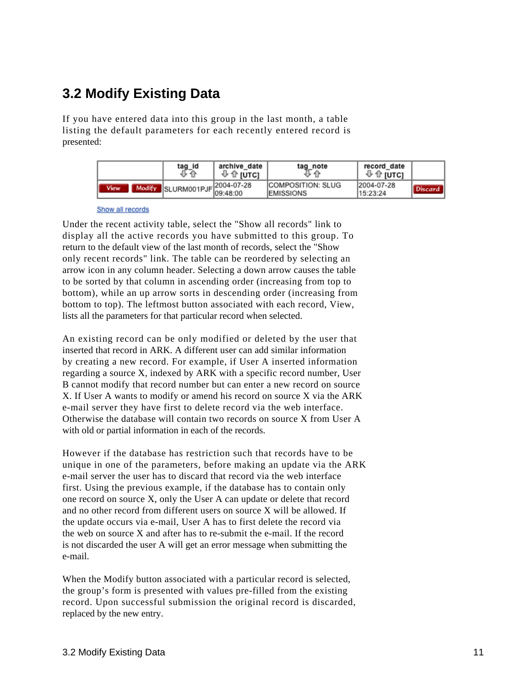## <span id="page-12-1"></span><span id="page-12-0"></span>**3.2 Modify Existing Data**

If you have entered data into this group in the last month, a table listing the default parameters for each recently entered record is presented:

|             | tag_id<br>⇧<br>v              | archive date<br>⊕ ∕ो <sub>l</sub> Ūτcι | tag_note                                      | record date<br>⊕ ∕ù ī∪τc] |         |
|-------------|-------------------------------|----------------------------------------|-----------------------------------------------|---------------------------|---------|
| <b>View</b> | Modify SLURM001PJF 2004-07-28 |                                        | <b>COMPOSITION: SLUG</b><br><b>IEMISSIONS</b> | 2004-07-28<br>15:23:24    | Discard |

Show all records

Under the recent activity table, select the "Show all records" link to display all the active records you have submitted to this group. To return to the default view of the last month of records, select the "Show only recent records" link. The table can be reordered by selecting an arrow icon in any column header. Selecting a down arrow causes the table to be sorted by that column in ascending order (increasing from top to bottom), while an up arrow sorts in descending order (increasing from bottom to top). The leftmost button associated with each record, View, lists all the parameters for that particular record when selected.

An existing record can be only modified or deleted by the user that inserted that record in ARK. A different user can add similar information by creating a new record. For example, if User A inserted information regarding a source X, indexed by ARK with a specific record number, User B cannot modify that record number but can enter a new record on source X. If User A wants to modify or amend his record on source X via the ARK e-mail server they have first to delete record via the web interface. Otherwise the database will contain two records on source X from User A with old or partial information in each of the records.

However if the database has restriction such that records have to be unique in one of the parameters, before making an update via the ARK e-mail server the user has to discard that record via the web interface first. Using the previous example, if the database has to contain only one record on source X, only the User A can update or delete that record and no other record from different users on source X will be allowed. If the update occurs via e-mail, User A has to first delete the record via the web on source X and after has to re-submit the e-mail. If the record is not discarded the user A will get an error message when submitting the e-mail.

When the Modify button associated with a particular record is selected, the group's form is presented with values pre-filled from the existing record. Upon successful submission the original record is discarded, replaced by the new entry.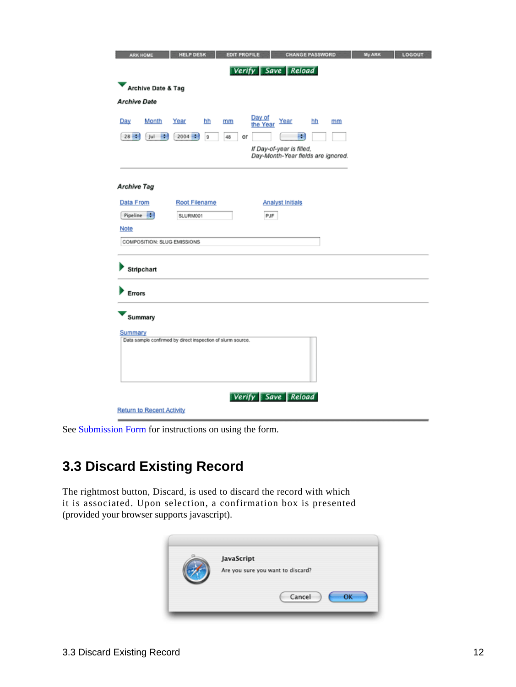| <b>ARK HOME</b>                  | <b>HELP DESK</b>                                            | <b>EDIT PROFILE</b> |                                                                 | <b>CHANGE PASSWORD</b> | My ARK | LOGOUT |
|----------------------------------|-------------------------------------------------------------|---------------------|-----------------------------------------------------------------|------------------------|--------|--------|
|                                  |                                                             |                     | Verify Save Reload                                              |                        |        |        |
| Archive Date & Tag               |                                                             |                     |                                                                 |                        |        |        |
| <b>Archive Date</b>              |                                                             |                     |                                                                 |                        |        |        |
|                                  |                                                             |                     | Day of                                                          |                        |        |        |
| Month<br>Day                     | Year<br>hh                                                  | mm                  | Year<br>the Year                                                | hh<br>mm               |        |        |
| $28 - 7$<br>P.<br>Jul            | $2004 + 1$<br>9                                             | 48<br>or            | F.                                                              |                        |        |        |
|                                  |                                                             |                     | If Day-of-year is filled,<br>Day-Month-Year fields are ignored. |                        |        |        |
|                                  |                                                             |                     |                                                                 |                        |        |        |
| <b>Archive Tag</b>               |                                                             |                     |                                                                 |                        |        |        |
|                                  |                                                             |                     |                                                                 |                        |        |        |
| Data From                        | Root Filename                                               |                     | <b>Analyst Initials</b>                                         |                        |        |        |
| Pipeline :                       | SLURM001                                                    |                     | PJF                                                             |                        |        |        |
| Note                             |                                                             |                     |                                                                 |                        |        |        |
| COMPOSITION: SLUG EMISSIONS      |                                                             |                     |                                                                 |                        |        |        |
|                                  |                                                             |                     |                                                                 |                        |        |        |
| Stripchart                       |                                                             |                     |                                                                 |                        |        |        |
| Errors                           |                                                             |                     |                                                                 |                        |        |        |
|                                  |                                                             |                     |                                                                 |                        |        |        |
| Summary                          |                                                             |                     |                                                                 |                        |        |        |
| Summary                          |                                                             |                     |                                                                 |                        |        |        |
|                                  | Data sample confirmed by direct inspection of slurm source. |                     |                                                                 |                        |        |        |
|                                  |                                                             |                     |                                                                 |                        |        |        |
|                                  |                                                             |                     |                                                                 |                        |        |        |
|                                  |                                                             |                     |                                                                 |                        |        |        |
|                                  |                                                             |                     | Verify Save Reload                                              |                        |        |        |
| <b>Return to Recent Activity</b> |                                                             |                     |                                                                 |                        |        |        |

See [Submission Form for ins](#page-17-0)tructions on using the form.

## <span id="page-13-0"></span>**3.3 Discard Existing Record**

The rightmost button, Discard, is used to discard the record with which it is associated. Upon selection, a confirmation box is presented (provided your browser supports javascript).

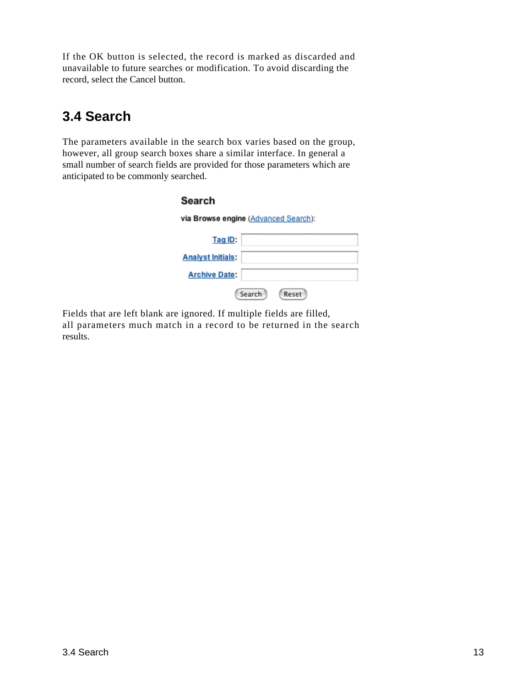If the OK button is selected, the record is marked as discarded and unavailable to future searches or modification. To avoid discarding the record, select the Cancel button.

### <span id="page-14-0"></span>**3.4 Search**

The parameters available in the search box varies based on the group, however, all group search boxes share a similar interface. In general a small number of search fields are provided for those parameters which are anticipated to be commonly searched.

| Search                               |  |  |  |  |
|--------------------------------------|--|--|--|--|
| via Browse engine (Advanced Search): |  |  |  |  |
| Tag ID:                              |  |  |  |  |
| <b>Analyst Initials:</b>             |  |  |  |  |
| <b>Archive Date:</b>                 |  |  |  |  |
| Search<br>Reset                      |  |  |  |  |

Fields that are left blank are ignored. If multiple fields are filled, all parameters much match in a record to be returned in the search results.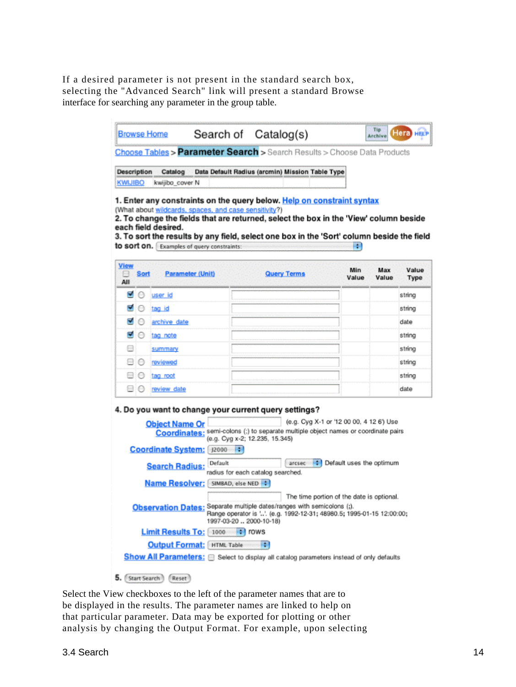If a desired parameter is not present in the standard search box, selecting the "Advanced Search" link will present a standard Browse interface for searching any parameter in the group table.

| <b>Browse Home</b>                   |                                                                                     |                  | Search of Catalog(s)<br><b>Choose Tables &gt; Parameter Search &gt;</b> Search Results > Choose Data Products                                                                                                             |                          | Archive      | <b>Hera</b> HELP     |
|--------------------------------------|-------------------------------------------------------------------------------------|------------------|---------------------------------------------------------------------------------------------------------------------------------------------------------------------------------------------------------------------------|--------------------------|--------------|----------------------|
| <b>Description</b><br><b>KWIJIBO</b> | Catalog<br>kwijibo_cover N<br>(What about wildcards, spaces, and case sensitivity?) |                  | Data Default Radius (arcmin) Mission Table Type<br>1. Enter any constraints on the query below. Help on constraint syntax<br>2. To change the fields that are returned, select the box in the 'View' column beside        |                          |              |                      |
|                                      | each field desired.<br>to sort on. Examples of query constraints:                   |                  | 3. To sort the results by any field, select one box in the 'Sort' column beside the field                                                                                                                                 | ۰                        |              |                      |
| <b>View</b><br>Sort<br>Đđ.<br>All    | <b>Parameter (Unit)</b>                                                             |                  | <b>Query Terms</b>                                                                                                                                                                                                        | Min<br>Value             | Max<br>Value | Value<br><b>Type</b> |
| V<br>69                              | user id                                                                             |                  |                                                                                                                                                                                                                           |                          |              | string               |
| V<br>$\mathcal{L}$                   | tag id                                                                              |                  |                                                                                                                                                                                                                           |                          |              | string               |
|                                      | archive date                                                                        |                  |                                                                                                                                                                                                                           |                          |              | date                 |
| M<br>⊙                               | tag note                                                                            |                  |                                                                                                                                                                                                                           |                          |              | string               |
|                                      | summary                                                                             |                  |                                                                                                                                                                                                                           |                          |              | string               |
| 5-1<br>⊖                             | reviewed                                                                            |                  |                                                                                                                                                                                                                           |                          |              | string               |
| <b>Built</b><br>◎                    | tag root                                                                            |                  |                                                                                                                                                                                                                           |                          |              | string               |
| 80                                   | review date                                                                         |                  |                                                                                                                                                                                                                           |                          |              | date                 |
|                                      | <b>Object Name Or</b><br><b>Coordinate System:</b> J2000                            | P.               | 4. Do you want to change your current query settings?<br>(e.g. Cyg X-1 or '12 00 00, 4 12 6') Use<br>Coordinates: semi-colons (;) to separate multiple object names or coordinate pairs<br>(e.g. Cyg x-2; 12.235, 15.345) |                          |              |                      |
|                                      | <b>Search Radius:</b>                                                               | Default          | arcsec<br>radius for each catalog searched.                                                                                                                                                                               | Default uses the optimum |              |                      |
|                                      | <b>Name Resolver:</b>                                                               | SIMBAD, else NED | The time portion of the date is optional.<br>Observation Dates: Separate multiple dates/ranges with semicolons (;).                                                                                                       |                          |              |                      |
|                                      | Limit Results To: [1000 [1] rows                                                    |                  | Range operator is  (e.g. 1992-12-31; 48980.5; 1995-01-15 12:00:00;<br>1997-03-20  2000-10-18)                                                                                                                             |                          |              |                      |
|                                      | <b>Output Format: HTML Table</b>                                                    |                  | F.                                                                                                                                                                                                                        |                          |              |                      |
|                                      |                                                                                     |                  | Show All Parameters: <sup>1</sup> Select to display all catalog parameters instead of only defaults                                                                                                                       |                          |              |                      |
|                                      | 5. (Start Search) (Reset)                                                           |                  |                                                                                                                                                                                                                           |                          |              |                      |

Select the View checkboxes to the left of the parameter names that are to be displayed in the results. The parameter names are linked to help on that particular parameter. Data may be exported for plotting or other analysis by changing the Output Format. For example, upon selecting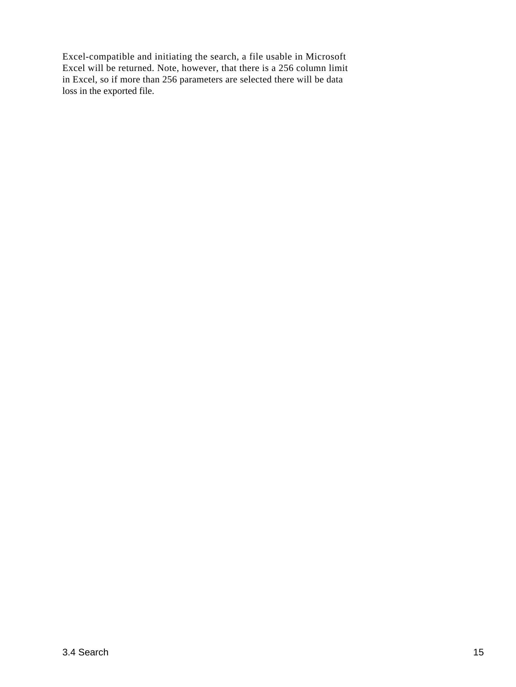Excel-compatible and initiating the search, a file usable in Microsoft Excel will be returned. Note, however, that there is a 256 column limit in Excel, so if more than 256 parameters are selected there will be data loss in the exported file.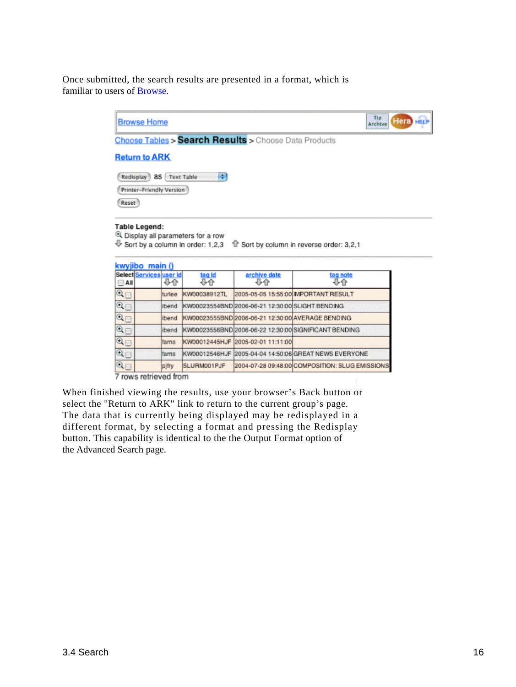Once submitted, the search results are presented in a format, which is familiar to users of Browse.



7 rows retrieved from

<span id="page-17-0"></span>When finished viewing the results, use your browser's Back button or select the "Return to ARK" link to return to the current group's page. The data that is currently being displayed may be redisplayed in a different format, by selecting a format and pressing the Redisplay button. This capability is identical to the the Output Format option of the Advanced Search page.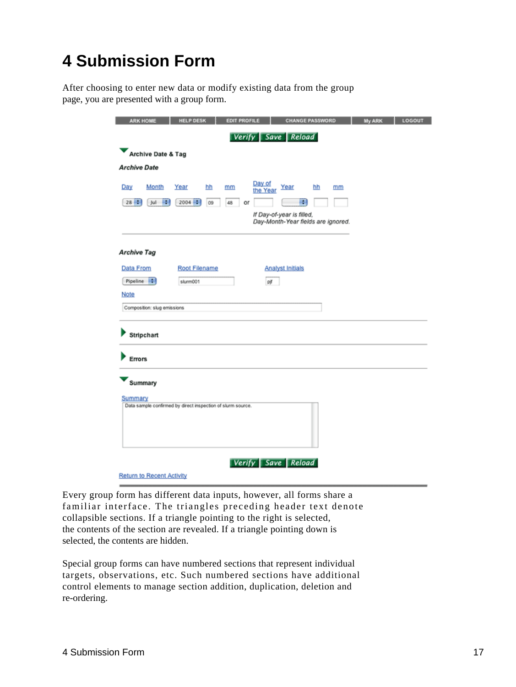# <span id="page-18-0"></span>**4 Submission Form**

After choosing to enter new data or modify existing data from the group page, you are presented with a group form.

| <b>ARK HOME</b>                  | <b>HELP DESK</b>                                            | <b>EDIT PROFILE</b>                  |                                        | <b>CHANGE PASSWORD</b>                         | <b>My ARK</b> | LOGOUT |
|----------------------------------|-------------------------------------------------------------|--------------------------------------|----------------------------------------|------------------------------------------------|---------------|--------|
|                                  |                                                             | Verify   Save   Reload               |                                        |                                                |               |        |
| Archive Date & Tag               |                                                             |                                      |                                        |                                                |               |        |
| <b>Archive Date</b>              |                                                             |                                      |                                        |                                                |               |        |
| Day<br>Month<br>28:<br>Jul       | Year<br>hh<br>H.<br>$2004$ :<br>09                          | Day of<br>mm<br>the Year<br>48<br>or | Year<br>÷<br>If Day-of-year is filled, | hh<br>mm<br>Day-Month-Year fields are ignored. |               |        |
| <b>Archive Tag</b>               |                                                             |                                      |                                        |                                                |               |        |
| Data From                        | Root Filename                                               |                                      | <b>Analyst Initials</b>                |                                                |               |        |
| Pipeline :                       | slurm001                                                    | pjf                                  |                                        |                                                |               |        |
| Note                             |                                                             |                                      |                                        |                                                |               |        |
| Composition: slug emissions      |                                                             |                                      |                                        |                                                |               |        |
| Stripchart                       |                                                             |                                      |                                        |                                                |               |        |
| Errors                           |                                                             |                                      |                                        |                                                |               |        |
| Summary                          |                                                             |                                      |                                        |                                                |               |        |
| Summary                          | Data sample confirmed by direct inspection of slurm source. |                                      |                                        |                                                |               |        |
|                                  |                                                             |                                      |                                        |                                                |               |        |
|                                  |                                                             |                                      |                                        |                                                |               |        |
|                                  |                                                             |                                      |                                        |                                                |               |        |
|                                  |                                                             | <b>Verify</b> Save Reload            |                                        |                                                |               |        |
| <b>Return to Recent Activity</b> |                                                             |                                      |                                        |                                                |               |        |

Every group form has different data inputs, however, all forms share a familiar interface. The triangles preceding header text denote collapsible sections. If a triangle pointing to the right is selected, the contents of the section are revealed. If a triangle pointing down is selected, the contents are hidden.

Special group forms can have numbered sections that represent individual targets, observations, etc. Such numbered sections have additional control elements to manage section addition, duplication, deletion and re-ordering.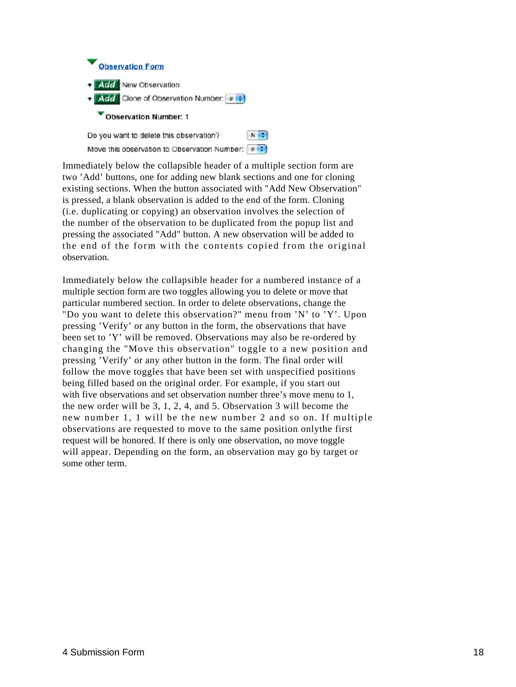

Immediately below the collapsible header of a multiple section form are two 'Add' buttons, one for adding new blank sections and one for cloning existing sections. When the button associated with "Add New Observation" is pressed, a blank observation is added to the end of the form. Cloning (i.e. duplicating or copying) an observation involves the selection of the number of the observation to be duplicated from the popup list and pressing the associated "Add" button. A new observation will be added to the end of the form with the contents copied from the original observation.

 $N$ 

Immediately below the collapsible header for a numbered instance of a multiple section form are two toggles allowing you to delete or move that particular numbered section. In order to delete observations, change the "Do you want to delete this observation?" menu from 'N' to 'Y'. Upon pressing 'Verify' or any button in the form, the observations that have been set to 'Y' will be removed. Observations may also be re-ordered by changing the "Move this observation" toggle to a new position and pressing 'Verify' or any other button in the form. The final order will follow the move toggles that have been set with unspecified positions being filled based on the original order. For example, if you start out with five observations and set observation number three's move menu to 1. the new order will be 3, 1, 2, 4, and 5. Observation 3 will become the new number 1, 1 will be the new number 2 and so on. If multiple observations are requested to move to the same position onlythe first request will be honored. If there is only one observation, no move toggle will appear. Depending on the form, an observation may go by target or some other term.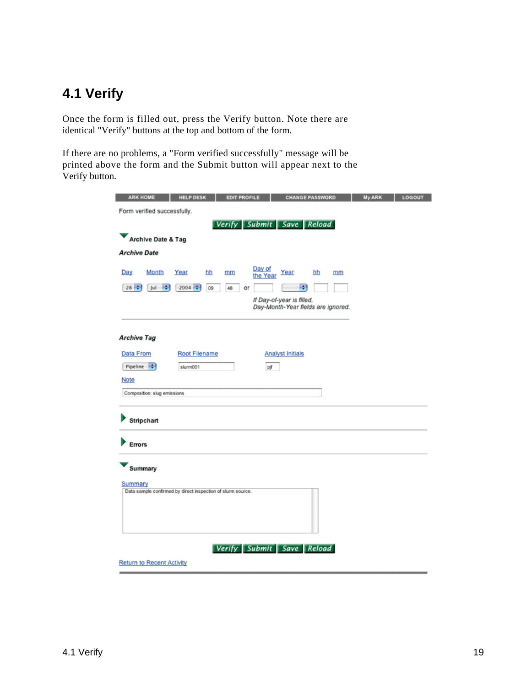## <span id="page-20-0"></span>**4.1 Verify**

Once the form is filled out, press the Verify button. Note there are identical "Verify" buttons at the top and bottom of the form.

If there are no problems, a "Form verified successfully" message will be printed above the form and the Submit button will appear next to the Verify button.

| <b>ARK HOME</b>                  | <b>HELP DESK</b>                                            | <b>EDIT PROFILE</b>      | <b>CHANGE PASSWORD</b>                                          | <b>My ARK</b><br>LOGOUT |  |  |  |
|----------------------------------|-------------------------------------------------------------|--------------------------|-----------------------------------------------------------------|-------------------------|--|--|--|
| Form verified successfully.      |                                                             |                          |                                                                 |                         |  |  |  |
|                                  |                                                             |                          | Verify Submit Save Reload                                       |                         |  |  |  |
| Archive Date & Tag               |                                                             |                          |                                                                 |                         |  |  |  |
| <b>Archive Date</b>              |                                                             |                          |                                                                 |                         |  |  |  |
|                                  |                                                             |                          |                                                                 |                         |  |  |  |
| Day<br>Month                     | Year<br>hh                                                  | Day of<br>mm<br>the Year | hh<br>Year<br>mm                                                |                         |  |  |  |
| 28 4<br>腰<br>-Jul                | 2004 网<br>09                                                | 48<br>or                 | 躁                                                               |                         |  |  |  |
|                                  |                                                             |                          | If Day-of-year is filled,<br>Day-Month-Year fields are ignored. |                         |  |  |  |
|                                  |                                                             |                          |                                                                 |                         |  |  |  |
|                                  |                                                             |                          |                                                                 |                         |  |  |  |
| <b>Archive Tag</b>               |                                                             |                          |                                                                 |                         |  |  |  |
| Data From                        | Root Filename                                               |                          | <b>Analyst Initials</b>                                         |                         |  |  |  |
| Pipeline <sup>141</sup>          | slurm001                                                    | pjf                      |                                                                 |                         |  |  |  |
| Note                             |                                                             |                          |                                                                 |                         |  |  |  |
| Composition: slug emissions      |                                                             |                          |                                                                 |                         |  |  |  |
|                                  |                                                             |                          |                                                                 |                         |  |  |  |
| Stripchart                       |                                                             |                          |                                                                 |                         |  |  |  |
|                                  |                                                             |                          |                                                                 |                         |  |  |  |
| Errors                           |                                                             |                          |                                                                 |                         |  |  |  |
|                                  |                                                             |                          |                                                                 |                         |  |  |  |
| Summary                          |                                                             |                          |                                                                 |                         |  |  |  |
| Summary                          | Data sample confirmed by direct inspection of slurm source. |                          |                                                                 |                         |  |  |  |
|                                  |                                                             |                          |                                                                 |                         |  |  |  |
|                                  |                                                             |                          |                                                                 |                         |  |  |  |
|                                  |                                                             |                          |                                                                 |                         |  |  |  |
|                                  |                                                             |                          |                                                                 |                         |  |  |  |
|                                  |                                                             |                          | Verify Submit Save Reload                                       |                         |  |  |  |
| <b>Return to Recent Activity</b> |                                                             |                          |                                                                 |                         |  |  |  |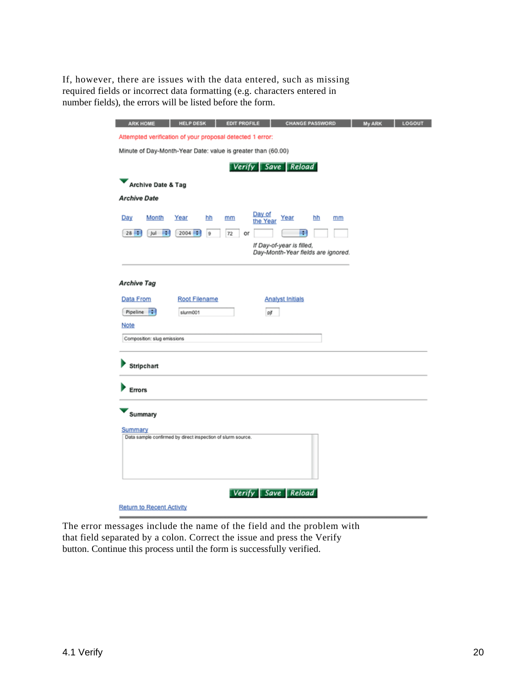If, however, there are issues with the data entered, such as missing required fields or incorrect data formatting (e.g. characters entered in number fields), the errors will be listed before the form.

| <b>ARK HOME</b>                                                        | <b>HELP DESK</b>                                             | <b>EDIT PROFILE</b>      | <b>CHANGE PASSWORD</b>                                          | <b>My ARK</b> | LOGOUT |  |  |  |
|------------------------------------------------------------------------|--------------------------------------------------------------|--------------------------|-----------------------------------------------------------------|---------------|--------|--|--|--|
| Attempted verification of your proposal detected 1 error:              |                                                              |                          |                                                                 |               |        |  |  |  |
|                                                                        | Minute of Day-Month-Year Date: value is greater than (60.00) |                          |                                                                 |               |        |  |  |  |
|                                                                        |                                                              | Verify Save Reload       |                                                                 |               |        |  |  |  |
|                                                                        |                                                              |                          |                                                                 |               |        |  |  |  |
| Archive Date & Tag                                                     |                                                              |                          |                                                                 |               |        |  |  |  |
| <b>Archive Date</b>                                                    |                                                              |                          |                                                                 |               |        |  |  |  |
| Month<br>Day                                                           | Year<br>hh                                                   | Day of<br>mm<br>the Year | hh<br>Year<br>mm                                                |               |        |  |  |  |
| 28 章<br>時<br>Jul                                                       | 2004<br>19                                                   | 72<br>or                 | 暷                                                               |               |        |  |  |  |
|                                                                        |                                                              |                          | If Day-of-year is filled,<br>Day-Month-Year fields are ignored. |               |        |  |  |  |
|                                                                        |                                                              |                          |                                                                 |               |        |  |  |  |
|                                                                        |                                                              |                          |                                                                 |               |        |  |  |  |
| <b>Archive Tag</b>                                                     |                                                              |                          |                                                                 |               |        |  |  |  |
| Data From                                                              | Root Filename                                                |                          | <b>Analyst Initials</b>                                         |               |        |  |  |  |
| Pipeline \$                                                            | slurm001                                                     | pjf                      |                                                                 |               |        |  |  |  |
| Note                                                                   |                                                              |                          |                                                                 |               |        |  |  |  |
| Composition: slug emissions                                            |                                                              |                          |                                                                 |               |        |  |  |  |
|                                                                        |                                                              |                          |                                                                 |               |        |  |  |  |
| Stripchart                                                             |                                                              |                          |                                                                 |               |        |  |  |  |
|                                                                        |                                                              |                          |                                                                 |               |        |  |  |  |
| Errors                                                                 |                                                              |                          |                                                                 |               |        |  |  |  |
| Summary                                                                |                                                              |                          |                                                                 |               |        |  |  |  |
|                                                                        |                                                              |                          |                                                                 |               |        |  |  |  |
| Summary<br>Data sample confirmed by direct inspection of slurm source. |                                                              |                          |                                                                 |               |        |  |  |  |
|                                                                        |                                                              |                          |                                                                 |               |        |  |  |  |
|                                                                        |                                                              |                          |                                                                 |               |        |  |  |  |
|                                                                        |                                                              |                          |                                                                 |               |        |  |  |  |
|                                                                        |                                                              | Verify Save Reload       |                                                                 |               |        |  |  |  |
| <b>Return to Recent Activity</b>                                       |                                                              |                          |                                                                 |               |        |  |  |  |

The error messages include the name of the field and the problem with that field separated by a colon. Correct the issue and press the Verify button. Continue this process until the form is successfully verified.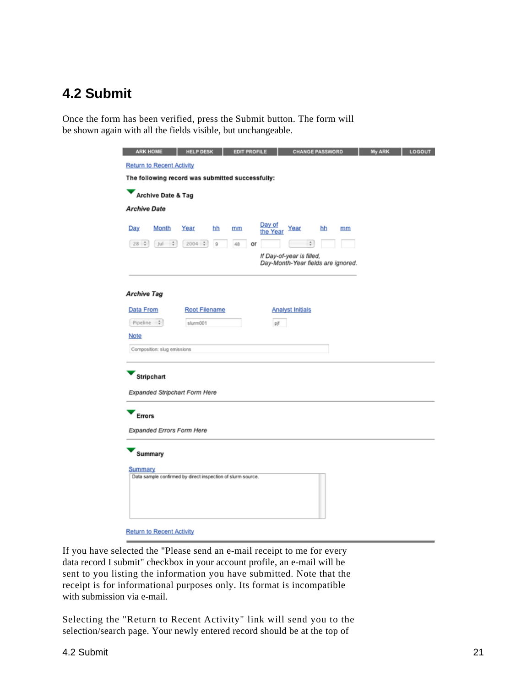### <span id="page-22-0"></span>**4.2 Submit**

Once the form has been verified, press the Submit button. The form will be shown again with all the fields visible, but unchangeable.

| <b>ARK HOME</b><br><b>HELP DESK</b>                                    | <b>EDIT PROFILE</b>      | <b>CHANGE PASSWORD</b>                                          | <b>My ARK</b> | LOGOUT |
|------------------------------------------------------------------------|--------------------------|-----------------------------------------------------------------|---------------|--------|
| <b>Return to Recent Activity</b>                                       |                          |                                                                 |               |        |
| The following record was submitted successfully:                       |                          |                                                                 |               |        |
| Archive Date & Tag                                                     |                          |                                                                 |               |        |
| <b>Archive Date</b>                                                    |                          |                                                                 |               |        |
| Month<br>Year<br>hh<br>Day                                             | Day of<br>mm<br>the Year | hh<br>Year                                                      | mm            |        |
| $ u $ $\frac{1}{2}$<br>28:<br>$2004$ $\div$<br> 9                      | 48<br>or                 | $\sim$                                                          |               |        |
|                                                                        |                          | If Day-of-year is filled,<br>Day-Month-Year fields are ignored. |               |        |
|                                                                        |                          |                                                                 |               |        |
| <b>Archive Tag</b>                                                     |                          |                                                                 |               |        |
| Data From<br>Root Filename                                             |                          | <b>Analyst Initials</b>                                         |               |        |
| Pipeline :<br>slurm001                                                 | pjf                      |                                                                 |               |        |
| Note                                                                   |                          |                                                                 |               |        |
| Composition: slug emissions                                            |                          |                                                                 |               |        |
| Stripchart<br>Expanded Stripchart Form Here<br>Errors                  |                          |                                                                 |               |        |
| Expanded Errors Form Here                                              |                          |                                                                 |               |        |
| Summary                                                                |                          |                                                                 |               |        |
| Summary<br>Data sample confirmed by direct inspection of slurm source. |                          |                                                                 |               |        |
|                                                                        |                          |                                                                 |               |        |
| <b>Return to Recent Activity</b>                                       |                          |                                                                 |               |        |

If you have selected the "Please send an e-mail receipt to me for every data record I submit" checkbox in your account profile, an e-mail will be sent to you listing the information you have submitted. Note that the receipt is for informational purposes only. Its format is incompatible with submission via e-mail.

Selecting the "Return to Recent Activity" link will send you to the selection/search page. Your newly entered record should be at the top of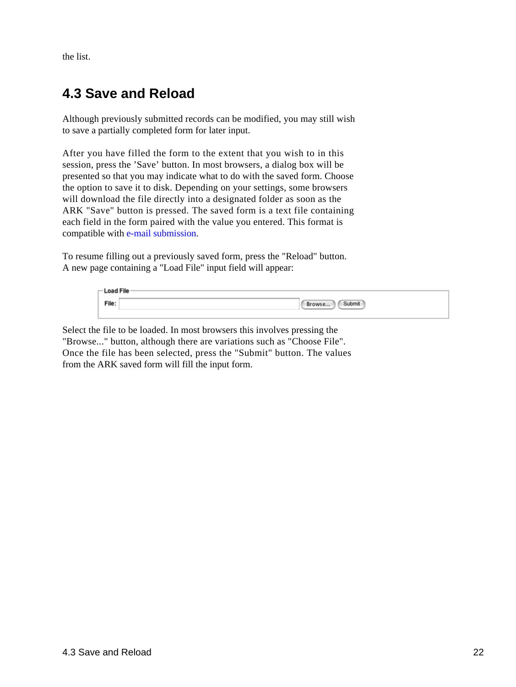the list.

### <span id="page-23-0"></span>**4.3 Save and Reload**

Although previously submitted records can be modified, you may still wish to save a partially completed form for later input.

After you have filled the form to the extent that you wish to in this session, press the 'Save' button. In most browsers, a dialog box will be presented so that you may indicate what to do with the saved form. Choose the option to save it to disk. Depending on your settings, some browsers will download the file directly into a designated folder as soon as the ARK "Save" button is pressed. The saved form is a text file containing each field in the form paired with the value you entered. This format is compatible with e-mai[l submission.](#page-23-1)

To resume filling out a previously saved form, press the "Reload" button. A new page containing a "Load File" input field will appear:

| - Load File |                  |
|-------------|------------------|
| File:       | Submit<br>Browse |
|             |                  |

<span id="page-23-1"></span>Select the file to be loaded. In most browsers this involves pressing the "Browse..." button, although there are variations such as "Choose File". Once the file has been selected, press the "Submit" button. The values from the ARK saved form will fill the input form.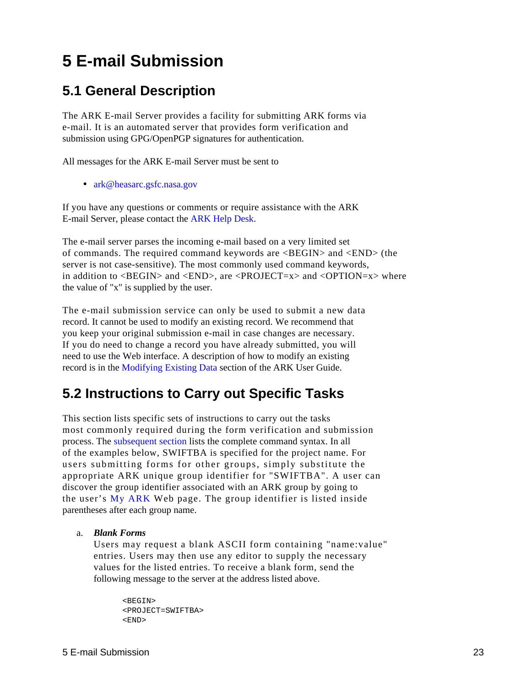# <span id="page-24-0"></span>**5 E-mail Submission**

### <span id="page-24-1"></span>**5.1 General Description**

The ARK E-mail Server provides a facility for submitting ARK forms via e-mail. It is an automated server that provides form verification and submission using GPG/OpenPGP signatures for authentication.

All messages for the ARK E-mail Server must be sent to

• ark@heasarc.gsfc.nasa.gov

If you have any questions or comments or require assistance with the ARK E-mail Server, please contact the ARK Help Desk.

The e-mail server parses the incoming e-mail based on a very limited set of commands. The required command keywords are <BEGIN> and <END> (the server is not case-sensitive). The most commonly used command keywords, in addition to  $\langle BEGIN \rangle$  and  $\langle END \rangle$ , are  $\langle PROJECT = x \rangle$  and  $\langle OPTION = x \rangle$  where the value of "x" is supplied by the user.

The e-mail submission service can only be used to submit a new data record. It cannot be used to modify an existing record. We recommend that you keep your original submission e-mail in case changes are necessary. If you do need to change a record you have already submitted, you will need to use the Web interface. A description of how to modify an existing record is in the Modifyi[ng Existing Data section of the ARK](#page-12-1) User Guide.

### <span id="page-24-2"></span>**5.2 Instructions to Carry out Specific Tasks**

This section lists specific sets of instructions to carry out the tasks most commonly required during the form verification and submission process. The subs[equent section lists the comp](#page-25-0)lete command syntax. In all of the examples below, SWIFTBA is specified for the project name. For users submitting forms for other groups, simply substitute the appropriate ARK unique group identifier for "SWIFTBA". A user can discover the group identifier associated with an ARK group by going to the user's My ARK Web page. The group identifier is listed inside parentheses after each group name.

#### *Blank Forms* a.

Users may request a blank ASCII form containing "name:value" entries. Users may then use any editor to supply the necessary values for the listed entries. To receive a blank form, send the following message to the server at the address listed above.

```
 <BEGIN>
 <PROJECT=SWIFTBA>
 <END>
```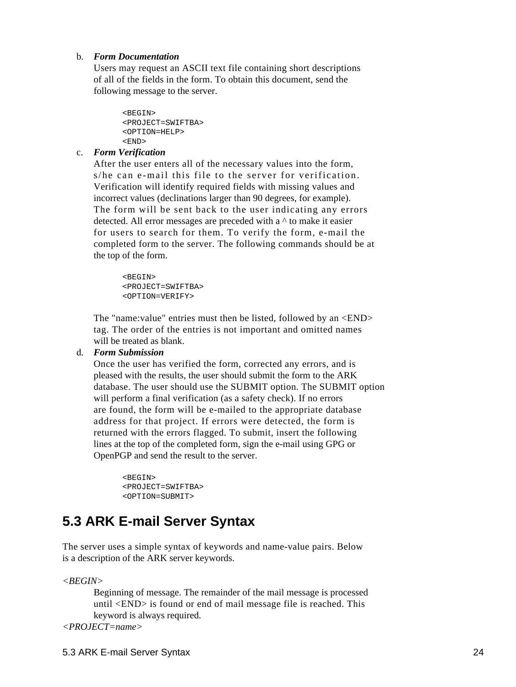#### *Form Documentation* b.

Users may request an ASCII text file containing short descriptions of all of the fields in the form. To obtain this document, send the following message to the server.

```
 <BEGIN>
 <PROJECT=SWIFTBA>
 <OPTION=HELP>
 <END>
```
#### *Form Verification* c.

After the user enters all of the necessary values into the form, s/he can e-mail this file to the server for verification. Verification will identify required fields with missing values and incorrect values (declinations larger than 90 degrees, for example). The form will be sent back to the user indicating any errors detected. All error messages are preceded with a ^ to make it easier for users to search for them. To verify the form, e-mail the completed form to the server. The following commands should be at the top of the form.

```
<BEGIN>
 <PROJECT=SWIFTBA>
 <OPTION=VERIFY>
```
The "name:value" entries must then be listed, followed by an <END> tag. The order of the entries is not important and omitted names will be treated as blank.

#### *Form Submission* d.

Once the user has verified the form, corrected any errors, and is pleased with the results, the user should submit the form to the ARK database. The user should use the SUBMIT option. The SUBMIT option will perform a final verification (as a safety check). If no errors are found, the form will be e-mailed to the appropriate database address for that project. If errors were detected, the form is returned with the errors flagged. To submit, insert the following lines at the top of the completed form, sign the e-mail using GPG or OpenPGP and send the result to the server.

```
 <BEGIN>
 <PROJECT=SWIFTBA>
 <OPTION=SUBMIT>
```
### <span id="page-25-0"></span>**5.3 ARK E-mail Server Syntax**

The server uses a simple syntax of keywords and name-value pairs. Below is a description of the ARK server keywords.

*<BEGIN>*

Beginning of message. The remainder of the mail message is processed until <END> is found or end of mail message file is reached. This keyword is always required.

*<PROJECT=name>*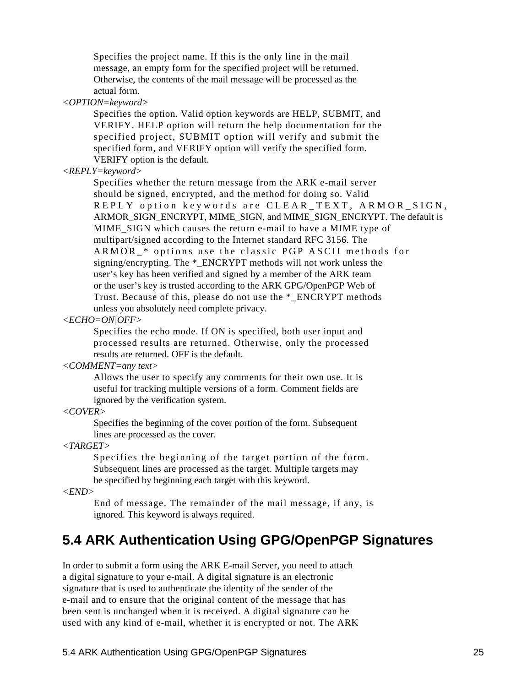Specifies the project name. If this is the only line in the mail message, an empty form for the specified project will be returned. Otherwise, the contents of the mail message will be processed as the actual form.

#### *<OPTION=keyword>*

Specifies the option. Valid option keywords are HELP, SUBMIT, and VERIFY. HELP option will return the help documentation for the specified project, SUBMIT option will verify and submit the specified form, and VERIFY option will verify the specified form. VERIFY option is the default.

#### *<REPLY=keyword>*

Specifies whether the return message from the ARK e-mail server should be signed, encrypted, and the method for doing so. Valid REPLY option keywords are CLEAR\_TEXT, ARMOR\_SIGN, ARMOR\_SIGN\_ENCRYPT, MIME\_SIGN, and MIME\_SIGN\_ENCRYPT. The default is MIME\_SIGN which causes the return e-mail to have a MIME type of multipart/signed according to the Internet standard RFC 3156. The ARMOR\_\* options use the classic PGP ASCII methods for signing/encrypting. The \* ENCRYPT methods will not work unless the user's key has been verified and signed by a member of the ARK team or the user's key is trusted according to the ARK GPG/OpenPGP Web of Trust. Because of this, please do not use the \*\_ENCRYPT methods unless you absolutely need complete privacy.

#### *<ECHO=ON|OFF>*

Specifies the echo mode. If ON is specified, both user input and processed results are returned. Otherwise, only the processed results are returned. OFF is the default.

#### *<COMMENT=any text>*

Allows the user to specify any comments for their own use. It is useful for tracking multiple versions of a form. Comment fields are ignored by the verification system.

#### *<COVER>*

Specifies the beginning of the cover portion of the form. Subsequent lines are processed as the cover.

#### *<TARGET>*

Specifies the beginning of the target portion of the form. Subsequent lines are processed as the target. Multiple targets may be specified by beginning each target with this keyword.

#### *<END>*

End of message. The remainder of the mail message, if any, is ignored. This keyword is always required.

## <span id="page-26-0"></span>**5.4 ARK Authentication Using GPG/OpenPGP Signatures**

In order to submit a form using the ARK E-mail Server, you need to attach a digital signature to your e-mail. A digital signature is an electronic signature that is used to authenticate the identity of the sender of the e-mail and to ensure that the original content of the message that has been sent is unchanged when it is received. A digital signature can be used with any kind of e-mail, whether it is encrypted or not. The ARK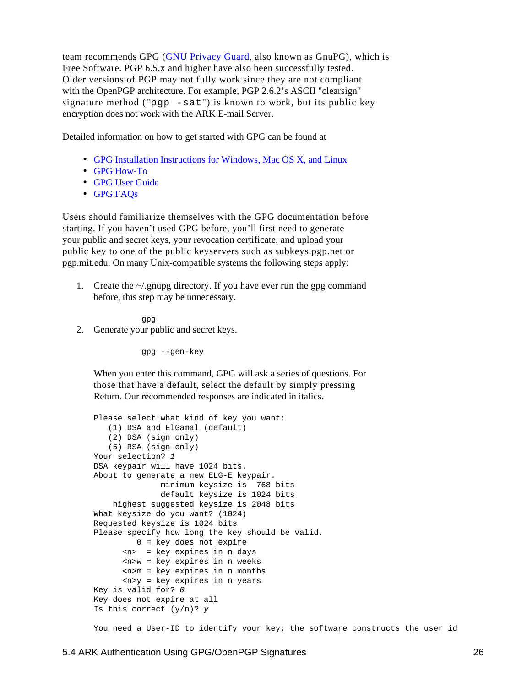team recommends GPG (GNU [Privacy Guard, also know](http://www.gnupg.org/)n as GnuPG), which is Free Software. PGP 6.5.x and higher have also been successfully tested. Older versions of PGP may not fully work since they are not compliant with the OpenPGP architecture. For example, PGP 2.6.2's ASCII "clearsign" signature method ("pqp  $-sat$ ") is known to work, but its public key encryption does not work with the ARK E-mail Server.

Detailed information on how to get started with GPG can be found at

- GPG Installation Instructions for Windows, Mac OS X, and Linux
- [GPG How-To](http://www.gnupg.org/documentation/howtos.html)
- [GPG User Guide](http://www.gnupg.org/documentation/guides.html)
- [GPG FAQs](http://www.gnupg.org/documentation/faqs.html)

Users should familiarize themselves with the GPG documentation before starting. If you haven't used GPG before, you'll first need to generate your public and secret keys, your revocation certificate, and upload your public key to one of the public keyservers such as subkeys.pgp.net or pgp.mit.edu. On many Unix-compatible systems the following steps apply:

1. Create the  $\sim$ /.gnupg directory. If you have ever run the gpg command before, this step may be unnecessary.

gpg

2. Generate your public and secret keys.

gpg --gen-key

When you enter this command, GPG will ask a series of questions. For those that have a default, select the default by simply pressing Return. Our recommended responses are indicated in italics.

```
Please select what kind of key you want:
   (1) DSA and ElGamal (default)
    (2) DSA (sign only)
   (5) RSA (sign only)
Your selection? 1
DSA keypair will have 1024 bits.
About to generate a new ELG-E keypair.
               minimum keysize is 768 bits
               default keysize is 1024 bits
    highest suggested keysize is 2048 bits
What keysize do you want? (1024)
Requested keysize is 1024 bits
Please specify how long the key should be valid.
         0 = key does not expire
       <n> = key expires in n days
       <n>w = key expires in n weeks
       <n>m = key expires in n months
       <n>y = key expires in n years
Key is valid for? 0
Key does not expire at all
Is this correct (y/n)? y
```
You need a User-ID to identify your key; the software constructs the user id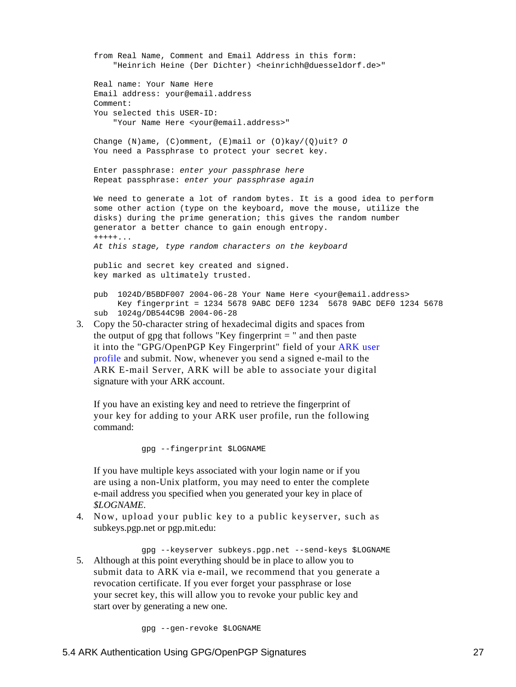from Real Name, Comment and Email Address in this form: "Heinrich Heine (Der Dichter) <heinrichh@duesseldorf.de>" Real name: Your Name Here Email address: your@email.address Comment: You selected this USER-ID: "Your Name Here <your@email.address>" Change (N)ame,  $(C)$ omment,  $(E)$ mail or  $(0)$ kay/ $(Q)$ uit? O You need a Passphrase to protect your secret key. Enter passphrase: enter your passphrase here Repeat passphrase: enter your passphrase again We need to generate a lot of random bytes. It is a good idea to perform some other action (type on the keyboard, move the mouse, utilize the disks) during the prime generation; this gives the random number generator a better chance to gain enough entropy. +++++... At this stage, type random characters on the keyboard public and secret key created and signed. key marked as ultimately trusted. pub 1024D/B5BDF007 2004-06-28 Your Name Here <your@email.address> Key fingerprint = 1234 5678 9ABC DEF0 1234 5678 9ABC DEF0 1234 5678 sub 1024g/DB544C9B 2004-06-28 Copy the 50-character string of hexadecimal digits and spaces from 3.

the output of gpg that follows "Key fingerprint  $=$ " and then paste it into the "GPG/OpenPGP Key Fingerprint" field of your ARK user profile and submit. Now, whenever you send a signed e-mail to the ARK E-mail Server, ARK will be able to associate your digital signature with your ARK account.

If you have an existing key and need to retrieve the fingerprint of your key for adding to your ARK user profile, run the following command:

gpg --fingerprint \$LOGNAME

If you have multiple keys associated with your login name or if you are using a non-Unix platform, you may need to enter the complete e-mail address you specified when you generated your key in place of *\$LOGNAME*.

4. Now, upload your public key to a public keyserver, such as subkeys.pgp.net or pgp.mit.edu:

 gpg --keyserver subkeys.pgp.net --send-keys \$LOGNAME Although at this point everything should be in place to allow you to 5. submit data to ARK via e-mail, we recommend that you generate a revocation certificate. If you ever forget your passphrase or lose your secret key, this will allow you to revoke your public key and start over by generating a new one.

gpg --gen-revoke \$LOGNAME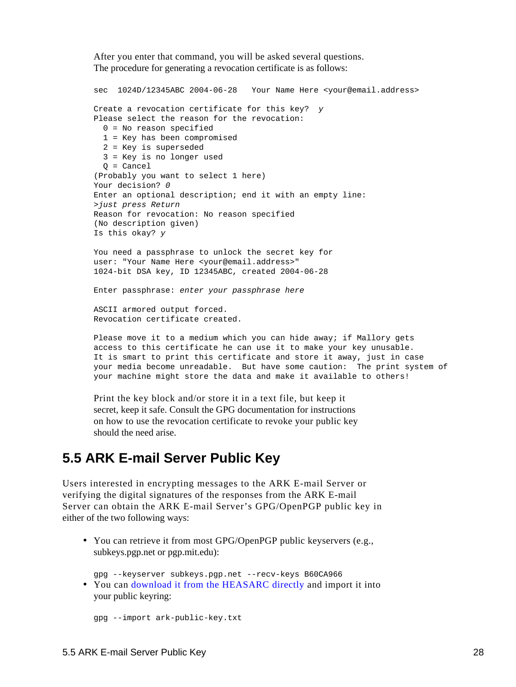After you enter that command, you will be asked several questions. The procedure for generating a revocation certificate is as follows:

```
sec 1024D/12345ABC 2004-06-28 Your Name Here <your@email.address>
Create a revocation certificate for this key? y
Please select the reason for the revocation:
   0 = No reason specified
   1 = Key has been compromised
   2 = Key is superseded
   3 = Key is no longer used
  Q = Cancel
(Probably you want to select 1 here)
Your decision? 0
Enter an optional description; end it with an empty line:
>just press Return
Reason for revocation: No reason specified
(No description given)
Is this okay? y
You need a passphrase to unlock the secret key for
user: "Your Name Here <your@email.address>"
1024-bit DSA key, ID 12345ABC, created 2004-06-28
Enter passphrase: enter your passphrase here
ASCII armored output forced.
Revocation certificate created.
Please move it to a medium which you can hide away; if Mallory gets
access to this certificate he can use it to make your key unusable.
It is smart to print this certificate and store it away, just in case
your media become unreadable. But have some caution: The print system of
your machine might store the data and make it available to others!
```
Print the key block and/or store it in a text file, but keep it secret, keep it safe. Consult the GPG documentation for instructions on how to use the revocation certificate to revoke your public key should the need arise.

### <span id="page-29-0"></span>**5.5 ARK E-mail Server Public Key**

Users interested in encrypting messages to the ARK E-mail Server or verifying the digital signatures of the responses from the ARK E-mail Server can obtain the ARK E-mail Server's GPG/OpenPGP public key in either of the two following ways:

• You can retrieve it from most GPG/OpenPGP public keyservers (e.g., subkeys.pgp.net or pgp.mit.edu):

gpg --keyserver subkeys.pgp.net --recv-keys B60CA966

• You can download it from the HEASARC directly and import it into your public keyring:

```
gpg --import ark-public-key.txt
```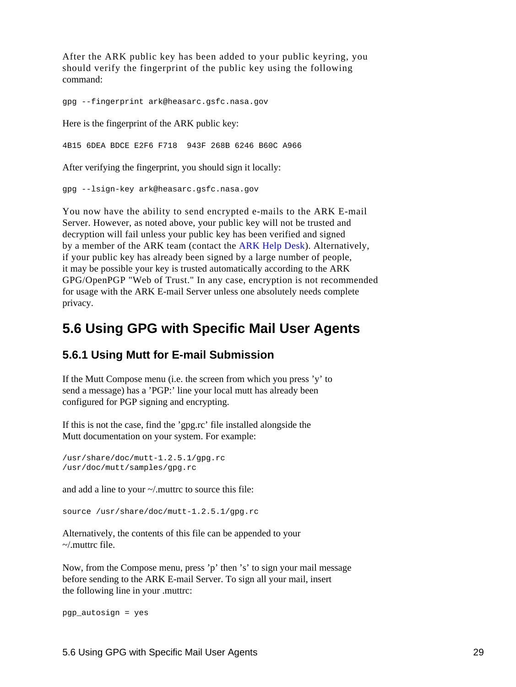After the ARK public key has been added to your public keyring, you should verify the fingerprint of the public key using the following command:

gpg --fingerprint ark@heasarc.gsfc.nasa.gov

Here is the fingerprint of the ARK public key:

4B15 6DEA BDCE E2F6 F718 943F 268B 6246 B60C A966

After verifying the fingerprint, you should sign it locally:

gpg --lsign-key ark@heasarc.gsfc.nasa.gov

You now have the ability to send encrypted e-mails to the ARK E-mail Server. However, as noted above, your public key will not be trusted and decryption will fail unless your public key has been verified and signed by a member of the ARK team (contact the ARK Help Desk). Alternatively, if your public key has already been signed by a large number of people, it may be possible your key is trusted automatically according to the ARK GPG/OpenPGP "Web of Trust." In any case, encryption is not recommended for usage with the ARK E-mail Server unless one absolutely needs complete privacy.

#### <span id="page-30-0"></span>**5.6 Using GPG with Specific Mail User Agents**

#### **5.6.1 Using Mutt for E-mail Submission**

If the Mutt Compose menu (i.e. the screen from which you press 'y' to send a message) has a 'PGP:' line your local mutt has already been configured for PGP signing and encrypting.

If this is not the case, find the 'gpg.rc' file installed alongside the Mutt documentation on your system. For example:

/usr/share/doc/mutt-1.2.5.1/gpg.rc /usr/doc/mutt/samples/gpg.rc

and add a line to your ~/.muttrc to source this file:

source /usr/share/doc/mutt-1.2.5.1/gpg.rc

Alternatively, the contents of this file can be appended to your  $\sim$ /.muttrc file.

Now, from the Compose menu, press 'p' then 's' to sign your mail message before sending to the ARK E-mail Server. To sign all your mail, insert the following line in your .muttrc:

pgp\_autosign = yes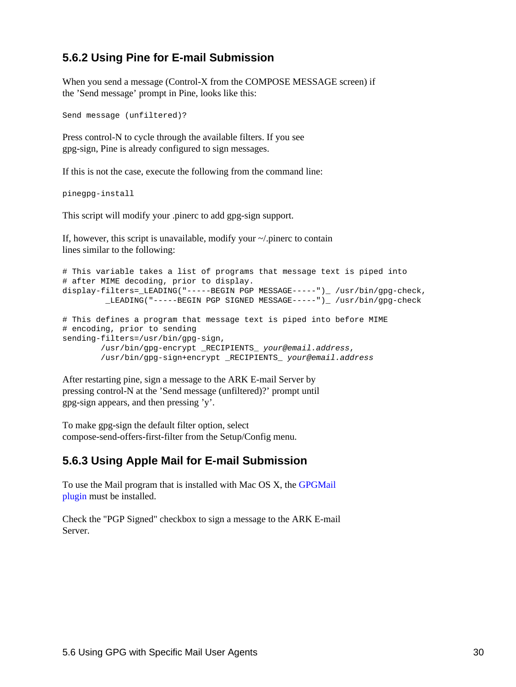#### **5.6.2 Using Pine for E-mail Submission**

When you send a message (Control-X from the COMPOSE MESSAGE screen) if the 'Send message' prompt in Pine, looks like this:

```
Send message (unfiltered)?
```
Press control-N to cycle through the available filters. If you see gpg-sign, Pine is already configured to sign messages.

If this is not the case, execute the following from the command line:

```
pinegpg-install
```
This script will modify your .pinerc to add gpg-sign support.

If, however, this script is unavailable, modify your ~/.pinerc to contain lines similar to the following:

```
# This variable takes a list of programs that message text is piped into
# after MIME decoding, prior to display.
display-filters=_LEADING("-----BEGIN PGP MESSAGE-----")_ /usr/bin/gpg-check,
          _LEADING("-----BEGIN PGP SIGNED MESSAGE-----")_ /usr/bin/gpg-check
# This defines a program that message text is piped into before MIME
# encoding, prior to sending
sending-filters=/usr/bin/gpg-sign,
         /usr/bin/gpg-encrypt _RECIPIENTS_ your@email.address,
         /usr/bin/gpg-sign+encrypt _RECIPIENTS_ your@email.address
```
After restarting pine, sign a message to the ARK E-mail Server by pressing control-N at the 'Send message (unfiltered)?' prompt until gpg-sign appears, and then pressing 'y'.

To make gpg-sign the default filter option, select compose-send-offers-first-filter from the Setup/Config menu.

#### **5.6.3 Using Apple Mail for E-mail Submission**

To use the Mail program that is installed with Mac OS X, the GPGMail [plugin mu](http://www.sente.ch/software/GPGMail/#Download)st be installed.

Check the "PGP Signed" checkbox to sign a message to the ARK E-mail Server.